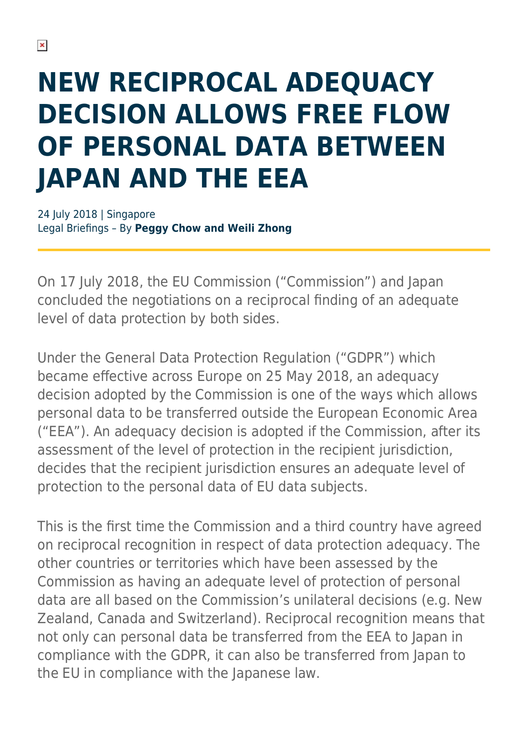# **NEW RECIPROCAL ADEQUACY DECISION ALLOWS FREE FLOW OF PERSONAL DATA BETWEEN JAPAN AND THE EEA**

24 July 2018 | Singapore Legal Briefings – By **Peggy Chow and Weili Zhong**

On 17 July 2018, the EU Commission ("Commission") and Japan concluded the negotiations on a reciprocal finding of an adequate level of data protection by both sides.

Under the General Data Protection Regulation ("GDPR") which became effective across Europe on 25 May 2018, an adequacy decision adopted by the Commission is one of the ways which allows personal data to be transferred outside the European Economic Area ("EEA"). An adequacy decision is adopted if the Commission, after its assessment of the level of protection in the recipient jurisdiction, decides that the recipient jurisdiction ensures an adequate level of protection to the personal data of EU data subjects.

This is the first time the Commission and a third country have agreed on reciprocal recognition in respect of data protection adequacy. The other countries or territories which have been assessed by the Commission as having an adequate level of protection of personal data are all based on the Commission's unilateral decisions (e.g. New Zealand, Canada and Switzerland). Reciprocal recognition means that not only can personal data be transferred from the EEA to Japan in compliance with the GDPR, it can also be transferred from Japan to the EU in compliance with the Japanese law.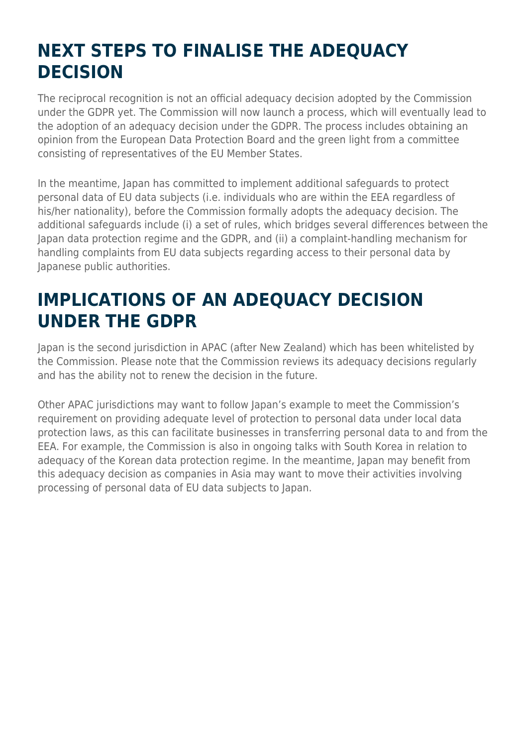### **NEXT STEPS TO FINALISE THE ADEQUACY DECISION**

The reciprocal recognition is not an official adequacy decision adopted by the Commission under the GDPR yet. The Commission will now launch a process, which will eventually lead to the adoption of an adequacy decision under the GDPR. The process includes obtaining an opinion from the European Data Protection Board and the green light from a committee consisting of representatives of the EU Member States.

In the meantime, Japan has committed to implement additional safeguards to protect personal data of EU data subjects (i.e. individuals who are within the EEA regardless of his/her nationality), before the Commission formally adopts the adequacy decision. The additional safeguards include (i) a set of rules, which bridges several differences between the Japan data protection regime and the GDPR, and (ii) a complaint-handling mechanism for handling complaints from EU data subjects regarding access to their personal data by Japanese public authorities.

#### **IMPLICATIONS OF AN ADEQUACY DECISION UNDER THE GDPR**

Japan is the second jurisdiction in APAC (after New Zealand) which has been whitelisted by the Commission. Please note that the Commission reviews its adequacy decisions regularly and has the ability not to renew the decision in the future.

Other APAC jurisdictions may want to follow Japan's example to meet the Commission's requirement on providing adequate level of protection to personal data under local data protection laws, as this can facilitate businesses in transferring personal data to and from the EEA. For example, the Commission is also in ongoing talks with South Korea in relation to adequacy of the Korean data protection regime. In the meantime, Japan may benefit from this adequacy decision as companies in Asia may want to move their activities involving processing of personal data of EU data subjects to Japan.